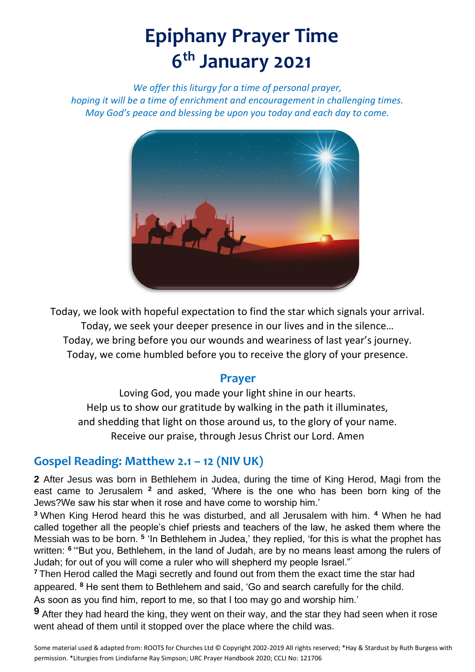# **Epiphany Prayer Time 6 th January 2021**

*We offer this liturgy for a time of personal prayer, hoping it will be a time of enrichment and encouragement in challenging times. May God's peace and blessing be upon you today and each day to come.*



Today, we look with hopeful expectation to find the star which signals your arrival. Today, we seek your deeper presence in our lives and in the silence… Today, we bring before you our wounds and weariness of last year's journey. Today, we come humbled before you to receive the glory of your presence.

### **Prayer**

Loving God, you made your light shine in our hearts. Help us to show our gratitude by walking in the path it illuminates, and shedding that light on those around us, to the glory of your name. Receive our praise, through Jesus Christ our Lord. Amen

## **Gospel Reading: Matthew 2.1 – 12 (NIV UK)**

**2** After Jesus was born in Bethlehem in Judea, during the time of King Herod, Magi from the east came to Jerusalem **<sup>2</sup>** and asked, 'Where is the one who has been born king of the Jews?We saw his star when it rose and have come to worship him.'

**<sup>3</sup>**When King Herod heard this he was disturbed, and all Jerusalem with him. **<sup>4</sup>** When he had called together all the people's chief priests and teachers of the law, he asked them where the Messiah was to be born. **<sup>5</sup>** 'In Bethlehem in Judea,' they replied, 'for this is what the prophet has written: **<sup>6</sup>**'"But you, Bethlehem, in the land of Judah, are by no means least among the rulers of Judah; for out of you will come a ruler who will shepherd my people Israel."'

**<sup>7</sup>**Then Herod called the Magi secretly and found out from them the exact time the star had appeared. **<sup>8</sup>** He sent them to Bethlehem and said, 'Go and search carefully for the child. As soon as you find him, report to me, so that I too may go and worship him.'

**9** After they had heard the king, they went on their way, and the star they had seen when it rose went ahead of them until it stopped over the place where the child was.